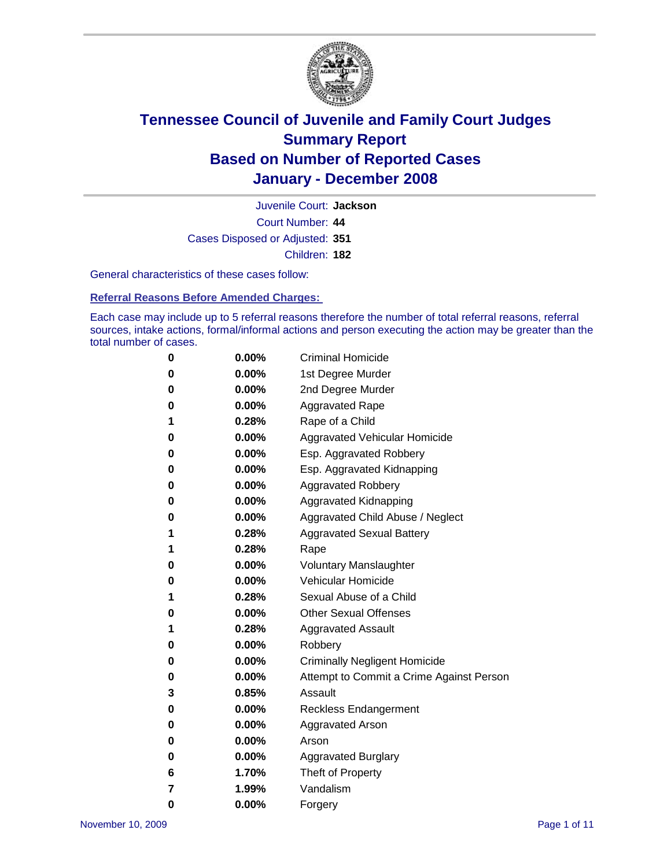

Court Number: **44** Juvenile Court: **Jackson** Cases Disposed or Adjusted: **351** Children: **182**

General characteristics of these cases follow:

**Referral Reasons Before Amended Charges:** 

Each case may include up to 5 referral reasons therefore the number of total referral reasons, referral sources, intake actions, formal/informal actions and person executing the action may be greater than the total number of cases.

| 0 | $0.00\%$ | <b>Criminal Homicide</b>                 |
|---|----------|------------------------------------------|
| 0 | 0.00%    | 1st Degree Murder                        |
| 0 | $0.00\%$ | 2nd Degree Murder                        |
| 0 | 0.00%    | <b>Aggravated Rape</b>                   |
| 1 | 0.28%    | Rape of a Child                          |
| 0 | 0.00%    | Aggravated Vehicular Homicide            |
| 0 | 0.00%    | Esp. Aggravated Robbery                  |
| 0 | $0.00\%$ | Esp. Aggravated Kidnapping               |
| 0 | 0.00%    | <b>Aggravated Robbery</b>                |
| 0 | $0.00\%$ | Aggravated Kidnapping                    |
| 0 | $0.00\%$ | Aggravated Child Abuse / Neglect         |
| 1 | 0.28%    | <b>Aggravated Sexual Battery</b>         |
| 1 | 0.28%    | Rape                                     |
| 0 | $0.00\%$ | <b>Voluntary Manslaughter</b>            |
| 0 | 0.00%    | Vehicular Homicide                       |
| 1 | 0.28%    | Sexual Abuse of a Child                  |
| 0 | $0.00\%$ | <b>Other Sexual Offenses</b>             |
| 1 | 0.28%    | <b>Aggravated Assault</b>                |
| 0 | $0.00\%$ | Robbery                                  |
| 0 | 0.00%    | <b>Criminally Negligent Homicide</b>     |
| 0 | $0.00\%$ | Attempt to Commit a Crime Against Person |
| 3 | 0.85%    | Assault                                  |
| 0 | 0.00%    | Reckless Endangerment                    |
| 0 | 0.00%    | Aggravated Arson                         |
| 0 | $0.00\%$ | Arson                                    |
| 0 | $0.00\%$ | <b>Aggravated Burglary</b>               |
| 6 | 1.70%    | Theft of Property                        |
| 7 | 1.99%    | Vandalism                                |
| 0 | 0.00%    | Forgery                                  |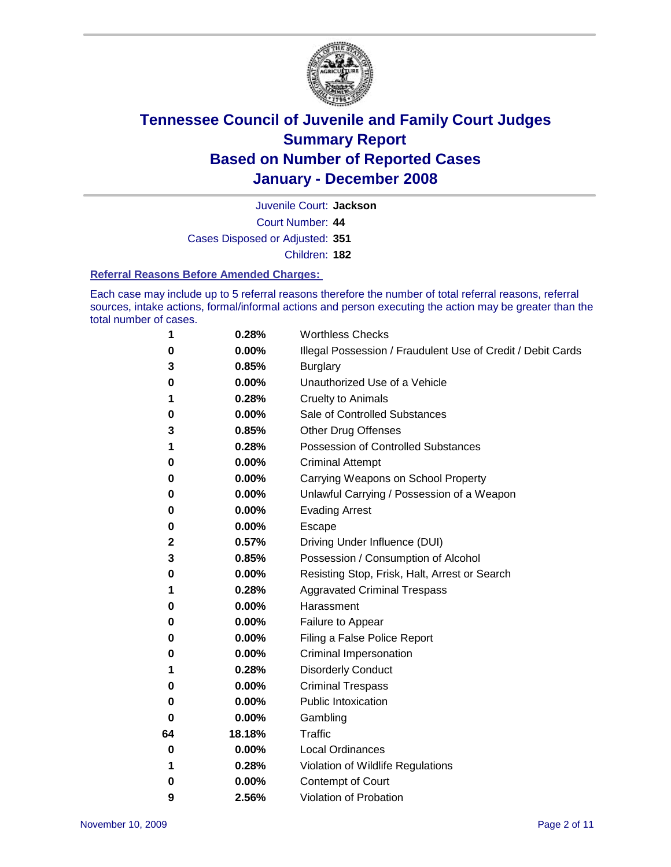

Juvenile Court: **Jackson**

Court Number: **44**

Cases Disposed or Adjusted: **351**

Children: **182**

#### **Referral Reasons Before Amended Charges:**

Each case may include up to 5 referral reasons therefore the number of total referral reasons, referral sources, intake actions, formal/informal actions and person executing the action may be greater than the total number of cases.

| 1  | 0.28%    | <b>Worthless Checks</b>                                     |
|----|----------|-------------------------------------------------------------|
| 0  | 0.00%    | Illegal Possession / Fraudulent Use of Credit / Debit Cards |
| 3  | 0.85%    | <b>Burglary</b>                                             |
| 0  | $0.00\%$ | Unauthorized Use of a Vehicle                               |
| 1  | 0.28%    | <b>Cruelty to Animals</b>                                   |
| 0  | 0.00%    | Sale of Controlled Substances                               |
| 3  | 0.85%    | <b>Other Drug Offenses</b>                                  |
| 1  | 0.28%    | Possession of Controlled Substances                         |
| 0  | 0.00%    | <b>Criminal Attempt</b>                                     |
| 0  | 0.00%    | Carrying Weapons on School Property                         |
| 0  | 0.00%    | Unlawful Carrying / Possession of a Weapon                  |
| 0  | 0.00%    | <b>Evading Arrest</b>                                       |
| 0  | 0.00%    | Escape                                                      |
| 2  | 0.57%    | Driving Under Influence (DUI)                               |
| 3  | 0.85%    | Possession / Consumption of Alcohol                         |
| 0  | 0.00%    | Resisting Stop, Frisk, Halt, Arrest or Search               |
| 1  | 0.28%    | <b>Aggravated Criminal Trespass</b>                         |
| 0  | 0.00%    | Harassment                                                  |
| 0  | 0.00%    | Failure to Appear                                           |
| 0  | 0.00%    | Filing a False Police Report                                |
| 0  | $0.00\%$ | Criminal Impersonation                                      |
| 1  | 0.28%    | <b>Disorderly Conduct</b>                                   |
| 0  | $0.00\%$ | <b>Criminal Trespass</b>                                    |
| 0  | 0.00%    | <b>Public Intoxication</b>                                  |
| 0  | $0.00\%$ | Gambling                                                    |
| 64 | 18.18%   | <b>Traffic</b>                                              |
| 0  | $0.00\%$ | Local Ordinances                                            |
| 1  | 0.28%    | Violation of Wildlife Regulations                           |
| 0  | 0.00%    | Contempt of Court                                           |
| 9  | 2.56%    | Violation of Probation                                      |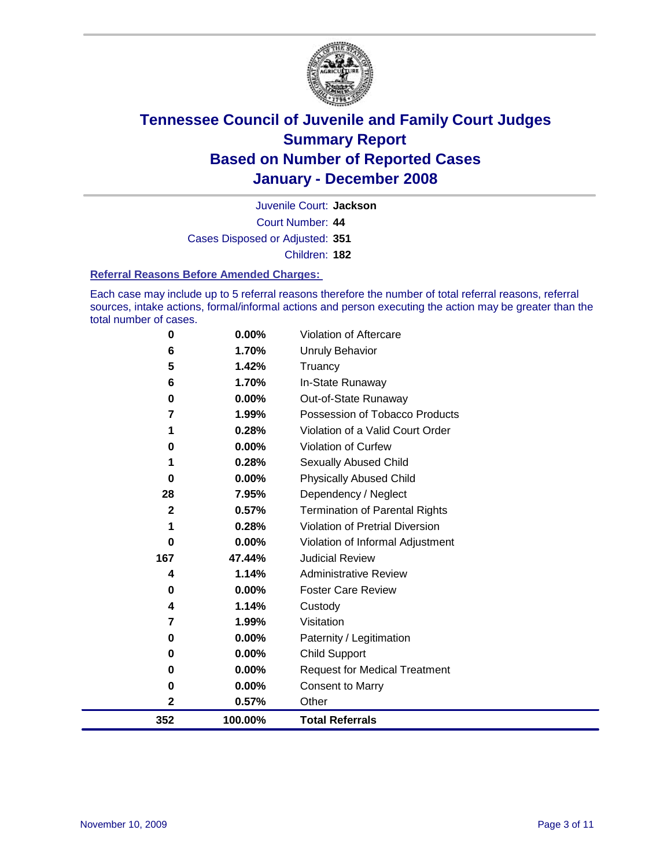

Court Number: **44** Juvenile Court: **Jackson** Cases Disposed or Adjusted: **351** Children: **182**

#### **Referral Reasons Before Amended Charges:**

Each case may include up to 5 referral reasons therefore the number of total referral reasons, referral sources, intake actions, formal/informal actions and person executing the action may be greater than the total number of cases.

| $\bf{0}$     | $0.00\%$ | Violation of Aftercare                |
|--------------|----------|---------------------------------------|
| 6            | 1.70%    | Unruly Behavior                       |
| 5            | 1.42%    | Truancy                               |
| 6            | 1.70%    | In-State Runaway                      |
| 0            | $0.00\%$ | Out-of-State Runaway                  |
| 7            | 1.99%    | Possession of Tobacco Products        |
| 1            | 0.28%    | Violation of a Valid Court Order      |
| $\bf{0}$     | $0.00\%$ | Violation of Curfew                   |
| 1            | 0.28%    | Sexually Abused Child                 |
| 0            | $0.00\%$ | <b>Physically Abused Child</b>        |
| 28           | 7.95%    | Dependency / Neglect                  |
| $\mathbf{2}$ | 0.57%    | <b>Termination of Parental Rights</b> |
| 1            | 0.28%    | Violation of Pretrial Diversion       |
| 0            | $0.00\%$ | Violation of Informal Adjustment      |
| 167          | 47.44%   | <b>Judicial Review</b>                |
| 4            | 1.14%    | <b>Administrative Review</b>          |
| 0            | $0.00\%$ | <b>Foster Care Review</b>             |
| 4            | 1.14%    | Custody                               |
| 7            | 1.99%    | Visitation                            |
| 0            | $0.00\%$ | Paternity / Legitimation              |
| 0            | $0.00\%$ | Child Support                         |
| 0            | 0.00%    | <b>Request for Medical Treatment</b>  |
| 0            | 0.00%    | <b>Consent to Marry</b>               |
| $\mathbf{2}$ | 0.57%    | Other                                 |
| 352          | 100.00%  | <b>Total Referrals</b>                |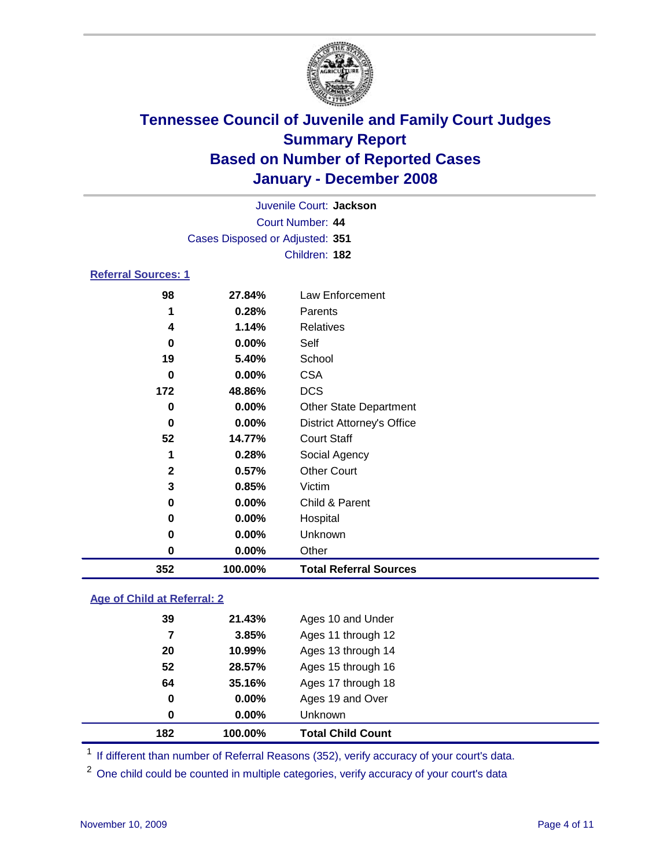

| Juvenile Court: Jackson         |  |
|---------------------------------|--|
| Court Number: 44                |  |
| Cases Disposed or Adjusted: 351 |  |
| Children: 182                   |  |
| <b>Referral Sources: 1</b>      |  |

| 352          | 100.00% | <b>Total Referral Sources</b>     |
|--------------|---------|-----------------------------------|
| 0            | 0.00%   | Other                             |
| 0            | 0.00%   | Unknown                           |
| 0            | 0.00%   | Hospital                          |
| 0            | 0.00%   | Child & Parent                    |
| 3            | 0.85%   | Victim                            |
| $\mathbf{2}$ | 0.57%   | <b>Other Court</b>                |
| 1            | 0.28%   | Social Agency                     |
| 52           | 14.77%  | <b>Court Staff</b>                |
| 0            | 0.00%   | <b>District Attorney's Office</b> |
| 0            | 0.00%   | <b>Other State Department</b>     |
| 172          | 48.86%  | <b>DCS</b>                        |
| 0            | 0.00%   | <b>CSA</b>                        |
| 19           | 5.40%   | School                            |
| 0            | 0.00%   | Self                              |
| 4            | 1.14%   | Relatives                         |
| 1            | 0.28%   | Parents                           |
| 98           | 27.84%  | Law Enforcement                   |

### **Age of Child at Referral: 2**

| 182 | 100.00% | <b>Total Child Count</b> |
|-----|---------|--------------------------|
| 0   | 0.00%   | <b>Unknown</b>           |
| 0   | 0.00%   | Ages 19 and Over         |
| 64  | 35.16%  | Ages 17 through 18       |
| 52  | 28.57%  | Ages 15 through 16       |
| 20  | 10.99%  | Ages 13 through 14       |
| 7   | 3.85%   | Ages 11 through 12       |
| 39  | 21.43%  | Ages 10 and Under        |
|     |         |                          |

<sup>1</sup> If different than number of Referral Reasons (352), verify accuracy of your court's data.

<sup>2</sup> One child could be counted in multiple categories, verify accuracy of your court's data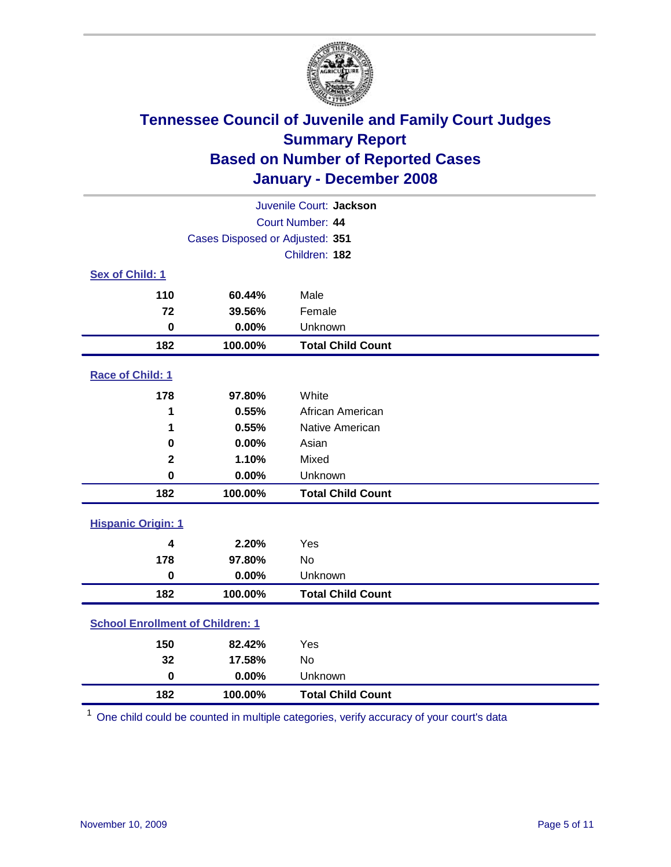

|                                         |                                 | Juvenile Court: Jackson  |
|-----------------------------------------|---------------------------------|--------------------------|
|                                         |                                 | Court Number: 44         |
|                                         | Cases Disposed or Adjusted: 351 |                          |
|                                         |                                 | Children: 182            |
| Sex of Child: 1                         |                                 |                          |
| 110                                     | 60.44%                          | Male                     |
| 72                                      | 39.56%                          | Female                   |
| $\bf{0}$                                | 0.00%                           | Unknown                  |
| 182                                     | 100.00%                         | <b>Total Child Count</b> |
| <b>Race of Child: 1</b>                 |                                 |                          |
| 178                                     | 97.80%                          | White                    |
| 1                                       | 0.55%                           | African American         |
| 1                                       | 0.55%                           | Native American          |
| 0                                       | 0.00%                           | Asian                    |
| $\mathbf 2$                             | 1.10%                           | Mixed                    |
| $\bf{0}$                                | 0.00%                           | Unknown                  |
| 182                                     | 100.00%                         | <b>Total Child Count</b> |
| <b>Hispanic Origin: 1</b>               |                                 |                          |
|                                         |                                 |                          |
| 4<br>178                                | 2.20%<br>97.80%                 | Yes                      |
| $\mathbf 0$                             | 0.00%                           | <b>No</b><br>Unknown     |
|                                         |                                 |                          |
| 182                                     | 100.00%                         | <b>Total Child Count</b> |
| <b>School Enrollment of Children: 1</b> |                                 |                          |
| 150                                     | 82.42%                          | Yes                      |
| 32                                      | 17.58%                          | No                       |
| $\mathbf 0$                             | 0.00%                           | Unknown                  |
| 182                                     | 100.00%                         | <b>Total Child Count</b> |

One child could be counted in multiple categories, verify accuracy of your court's data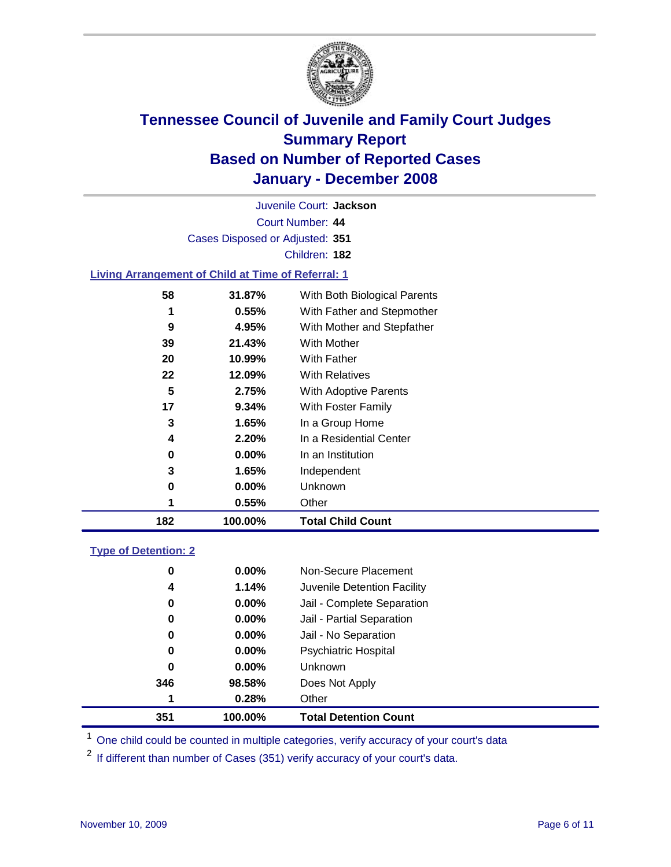

Court Number: **44** Juvenile Court: **Jackson** Cases Disposed or Adjusted: **351** Children: **182 Living Arrangement of Child at Time of Referral: 1 31.87%** With Both Biological Parents **0.55%** With Father and Stepmother

| 182 | 100.00%  | <b>Total Child Count</b>     |
|-----|----------|------------------------------|
|     | 0.55%    | Other                        |
| 0   | $0.00\%$ | Unknown                      |
| 3   | 1.65%    | Independent                  |
| 0   | $0.00\%$ | In an Institution            |
| 4   | 2.20%    | In a Residential Center      |
| 3   | 1.65%    | In a Group Home              |
| 17  | 9.34%    | With Foster Family           |
| 5   | 2.75%    | <b>With Adoptive Parents</b> |
| 22  | 12.09%   | <b>With Relatives</b>        |
| 20  | 10.99%   | <b>With Father</b>           |
| 39  | 21.43%   | <b>With Mother</b>           |
| 9   | 4.95%    | With Mother and Stepfather   |
|     | U.ວວ%    | vvith Father and Stepmother  |

### **Type of Detention: 2**

| 351 | 100.00%  | <b>Total Detention Count</b> |
|-----|----------|------------------------------|
| 1   | 0.28%    | Other                        |
| 346 | 98.58%   | Does Not Apply               |
| 0   | $0.00\%$ | <b>Unknown</b>               |
| 0   | $0.00\%$ | <b>Psychiatric Hospital</b>  |
| 0   | 0.00%    | Jail - No Separation         |
| 0   | $0.00\%$ | Jail - Partial Separation    |
| 0   | $0.00\%$ | Jail - Complete Separation   |
| 4   | 1.14%    | Juvenile Detention Facility  |
| 0   | $0.00\%$ | Non-Secure Placement         |
|     |          |                              |

<sup>1</sup> One child could be counted in multiple categories, verify accuracy of your court's data

<sup>2</sup> If different than number of Cases (351) verify accuracy of your court's data.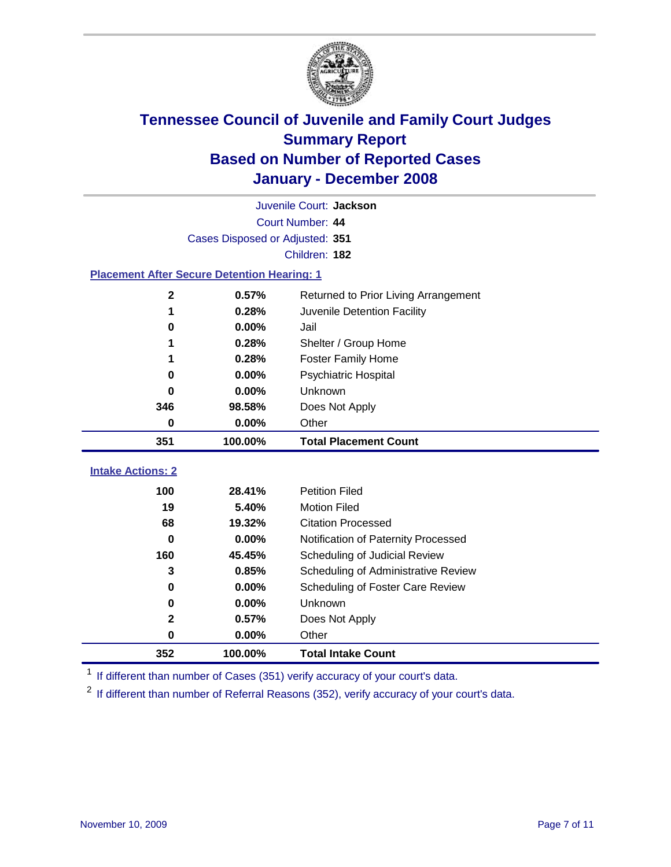

|                                                    |                                 | Juvenile Court: Jackson              |  |
|----------------------------------------------------|---------------------------------|--------------------------------------|--|
| Court Number: 44                                   |                                 |                                      |  |
|                                                    | Cases Disposed or Adjusted: 351 |                                      |  |
|                                                    |                                 | Children: 182                        |  |
| <b>Placement After Secure Detention Hearing: 1</b> |                                 |                                      |  |
| 2                                                  | 0.57%                           | Returned to Prior Living Arrangement |  |
| 1                                                  | 0.28%                           | Juvenile Detention Facility          |  |
| 0                                                  | 0.00%                           | Jail                                 |  |
| 1                                                  | 0.28%                           | Shelter / Group Home                 |  |
| 1                                                  | 0.28%                           | <b>Foster Family Home</b>            |  |
| $\bf{0}$                                           | 0.00%                           | Psychiatric Hospital                 |  |
| 0                                                  | 0.00%                           | Unknown                              |  |
| 346                                                | 98.58%                          | Does Not Apply                       |  |
| $\bf{0}$                                           | $0.00\%$                        | Other                                |  |
|                                                    |                                 |                                      |  |
| 351                                                | 100.00%                         | <b>Total Placement Count</b>         |  |
| <b>Intake Actions: 2</b>                           |                                 |                                      |  |
| 100                                                | 28.41%                          | <b>Petition Filed</b>                |  |
| 19                                                 | 5.40%                           | <b>Motion Filed</b>                  |  |
| 68                                                 | 19.32%                          | <b>Citation Processed</b>            |  |
| 0                                                  | 0.00%                           | Notification of Paternity Processed  |  |
| 160                                                | 45.45%                          | Scheduling of Judicial Review        |  |
| 3                                                  | 0.85%                           | Scheduling of Administrative Review  |  |
| 0                                                  | 0.00%                           | Scheduling of Foster Care Review     |  |
| 0                                                  | 0.00%                           | Unknown                              |  |
| 2                                                  | 0.57%                           | Does Not Apply                       |  |
| 0                                                  | 0.00%                           | Other                                |  |

<sup>1</sup> If different than number of Cases (351) verify accuracy of your court's data.

<sup>2</sup> If different than number of Referral Reasons (352), verify accuracy of your court's data.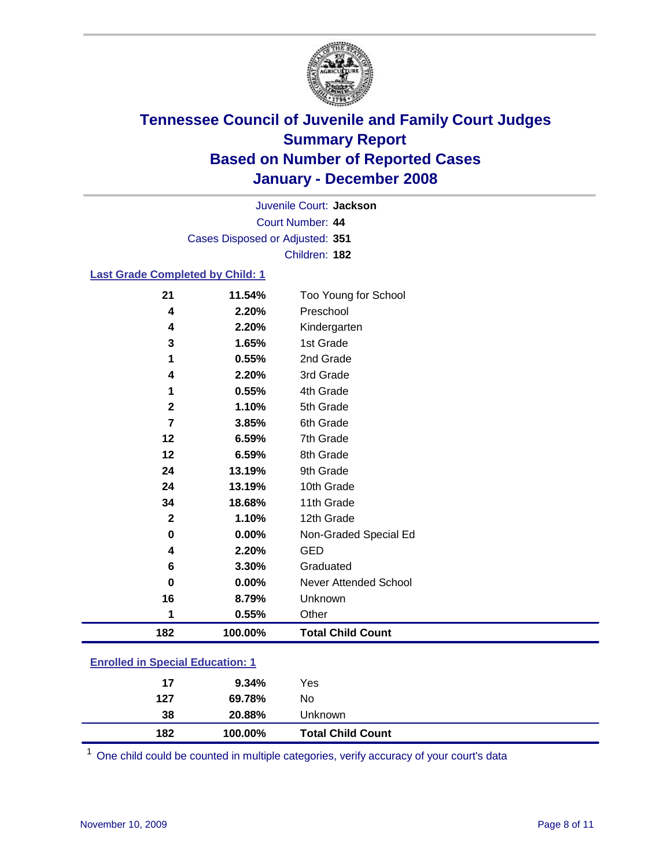

Court Number: **44** Juvenile Court: **Jackson** Cases Disposed or Adjusted: **351** Children: **182**

### **Last Grade Completed by Child: 1**

| 182          | 100.00% | <b>Total Child Count</b> |
|--------------|---------|--------------------------|
| 1            | 0.55%   | Other                    |
| 16           | 8.79%   | Unknown                  |
| $\bf{0}$     | 0.00%   | Never Attended School    |
| 6            | 3.30%   | Graduated                |
| 4            | 2.20%   | GED                      |
| $\bf{0}$     | 0.00%   | Non-Graded Special Ed    |
| $\mathbf{2}$ | 1.10%   | 12th Grade               |
| 34           | 18.68%  | 11th Grade               |
| 24           | 13.19%  | 10th Grade               |
| 24           | 13.19%  | 9th Grade                |
| 12           | 6.59%   | 8th Grade                |
| 12           | 6.59%   | 7th Grade                |
| 7            | 3.85%   | 6th Grade                |
| $\mathbf{2}$ | 1.10%   | 5th Grade                |
| 1            | 0.55%   | 4th Grade                |
| 4            | 2.20%   | 3rd Grade                |
| 1            | 0.55%   | 2nd Grade                |
| 3            | 1.65%   | 1st Grade                |
| 4            | 2.20%   | Kindergarten             |
| 4            | 2.20%   | Preschool                |
| 21           | 11.54%  | Too Young for School     |

### **Enrolled in Special Education: 1**

| 127 | 69.78%  | No                       |
|-----|---------|--------------------------|
| 38  | 20.88%  | Unknown                  |
| 182 | 100.00% | <b>Total Child Count</b> |

<sup>1</sup> One child could be counted in multiple categories, verify accuracy of your court's data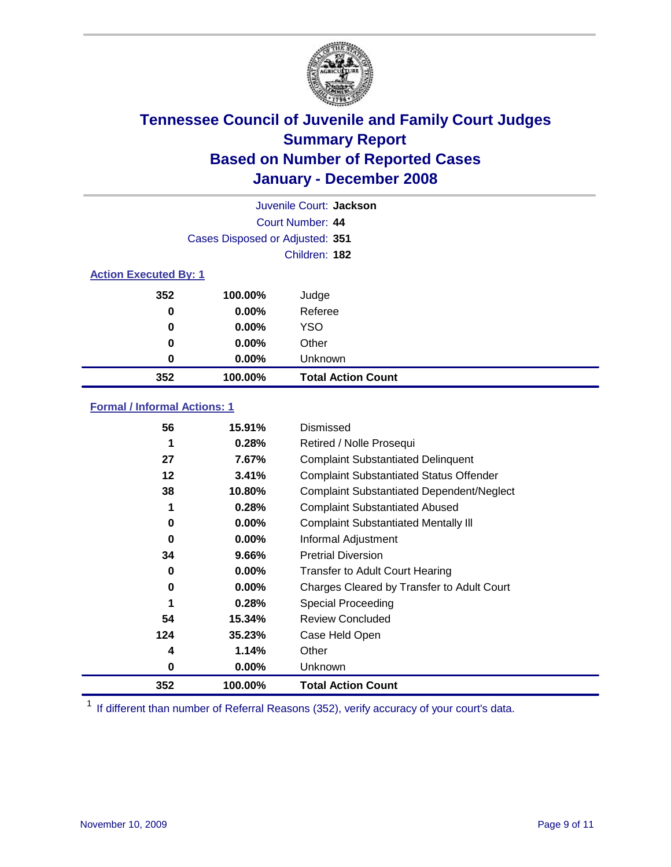

|                  |                                 | Juvenile Court: Jackson   |  |  |  |  |
|------------------|---------------------------------|---------------------------|--|--|--|--|
| Court Number: 44 |                                 |                           |  |  |  |  |
|                  | Cases Disposed or Adjusted: 351 |                           |  |  |  |  |
|                  |                                 | Children: 182             |  |  |  |  |
|                  | <b>Action Executed By: 1</b>    |                           |  |  |  |  |
| 352              | 100.00%                         | Judge                     |  |  |  |  |
| 0                | $0.00\%$                        | Referee                   |  |  |  |  |
| 0                | $0.00\%$                        | <b>YSO</b>                |  |  |  |  |
| 0                | 0.00%                           | Other                     |  |  |  |  |
| 0                | 0.00%                           | Unknown                   |  |  |  |  |
| 352              | 100.00%                         | <b>Total Action Count</b> |  |  |  |  |

### **Formal / Informal Actions: 1**

| 56  | 15.91%   | Dismissed                                        |
|-----|----------|--------------------------------------------------|
| 1   | 0.28%    | Retired / Nolle Prosequi                         |
| 27  | 7.67%    | <b>Complaint Substantiated Delinquent</b>        |
| 12  | 3.41%    | <b>Complaint Substantiated Status Offender</b>   |
| 38  | 10.80%   | <b>Complaint Substantiated Dependent/Neglect</b> |
| 1   | 0.28%    | <b>Complaint Substantiated Abused</b>            |
| 0   | $0.00\%$ | <b>Complaint Substantiated Mentally III</b>      |
| 0   | $0.00\%$ | Informal Adjustment                              |
| 34  | 9.66%    | <b>Pretrial Diversion</b>                        |
| 0   | $0.00\%$ | <b>Transfer to Adult Court Hearing</b>           |
| 0   | $0.00\%$ | Charges Cleared by Transfer to Adult Court       |
| 1   | 0.28%    | Special Proceeding                               |
| 54  | 15.34%   | <b>Review Concluded</b>                          |
| 124 | 35.23%   | Case Held Open                                   |
| 4   | 1.14%    | Other                                            |
| 0   | $0.00\%$ | <b>Unknown</b>                                   |
| 352 | 100.00%  | <b>Total Action Count</b>                        |

<sup>1</sup> If different than number of Referral Reasons (352), verify accuracy of your court's data.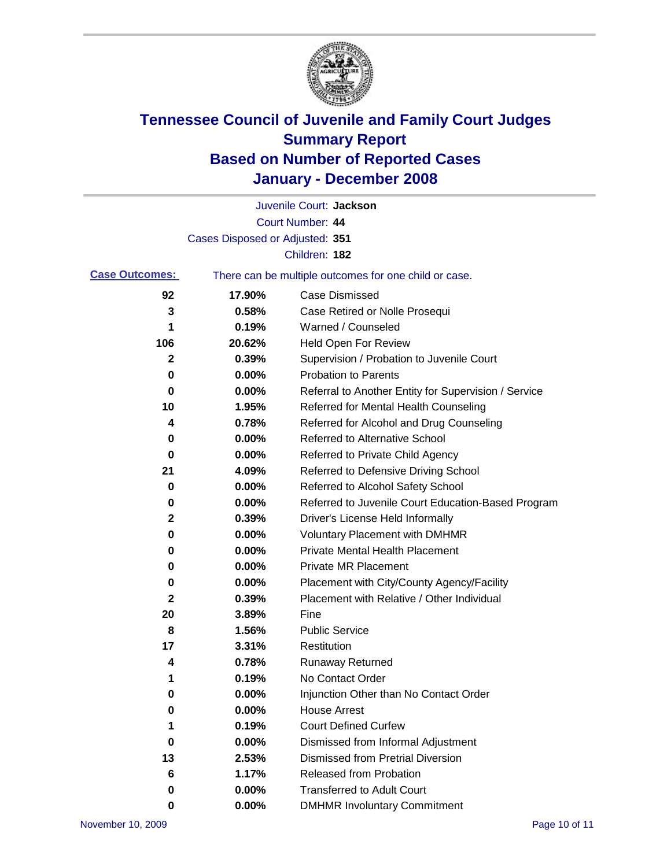

|                       |                                                       | Juvenile Court: Jackson                              |
|-----------------------|-------------------------------------------------------|------------------------------------------------------|
|                       |                                                       | Court Number: 44                                     |
|                       | Cases Disposed or Adjusted: 351                       |                                                      |
|                       |                                                       | Children: 182                                        |
| <b>Case Outcomes:</b> | There can be multiple outcomes for one child or case. |                                                      |
| 92                    | 17.90%                                                | <b>Case Dismissed</b>                                |
| 3                     | 0.58%                                                 | Case Retired or Nolle Prosequi                       |
| 1                     | 0.19%                                                 | Warned / Counseled                                   |
| 106                   | 20.62%                                                | Held Open For Review                                 |
| 2                     | 0.39%                                                 | Supervision / Probation to Juvenile Court            |
| 0                     | 0.00%                                                 | <b>Probation to Parents</b>                          |
| 0                     | 0.00%                                                 | Referral to Another Entity for Supervision / Service |
| 10                    | 1.95%                                                 | Referred for Mental Health Counseling                |
| 4                     | 0.78%                                                 | Referred for Alcohol and Drug Counseling             |
| 0                     | 0.00%                                                 | Referred to Alternative School                       |
| 0                     | 0.00%                                                 | Referred to Private Child Agency                     |
| 21                    | 4.09%                                                 | Referred to Defensive Driving School                 |
| 0                     | 0.00%                                                 | Referred to Alcohol Safety School                    |
| 0                     | 0.00%                                                 | Referred to Juvenile Court Education-Based Program   |
| 2                     | 0.39%                                                 | Driver's License Held Informally                     |
| 0                     | 0.00%                                                 | <b>Voluntary Placement with DMHMR</b>                |
| 0                     | 0.00%                                                 | Private Mental Health Placement                      |
| 0                     | 0.00%                                                 | <b>Private MR Placement</b>                          |
| 0                     | 0.00%                                                 | Placement with City/County Agency/Facility           |
| $\mathbf 2$           | 0.39%                                                 | Placement with Relative / Other Individual           |
| 20                    | 3.89%                                                 | Fine                                                 |
| 8                     | 1.56%                                                 | <b>Public Service</b>                                |
| 17                    | 3.31%                                                 | Restitution                                          |
| 4                     | 0.78%                                                 | <b>Runaway Returned</b>                              |
| 1                     | 0.19%                                                 | No Contact Order                                     |
| 0                     | 0.00%                                                 | Injunction Other than No Contact Order               |
| 0                     | 0.00%                                                 | <b>House Arrest</b>                                  |
| 1                     | 0.19%                                                 | <b>Court Defined Curfew</b>                          |
| 0                     | 0.00%                                                 | Dismissed from Informal Adjustment                   |
| 13                    | 2.53%                                                 | <b>Dismissed from Pretrial Diversion</b>             |
| 6                     | 1.17%                                                 | Released from Probation                              |
| 0                     | 0.00%                                                 | <b>Transferred to Adult Court</b>                    |
| 0                     | 0.00%                                                 | <b>DMHMR Involuntary Commitment</b>                  |